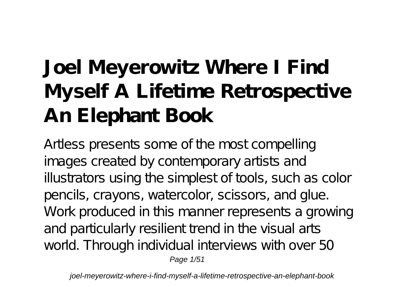# **Joel Meyerowitz Where I Find Myself A Lifetime Retrospective An Elephant Book**

Artless presents some of the most compelling images created by contemporary artists and illustrators using the simplest of tools, such as color pencils, crayons, watercolor, scissors, and glue. Work produced in this manner represents a growing and particularly resilient trend in the visual arts world. Through individual interviews with over 50 Page 1/51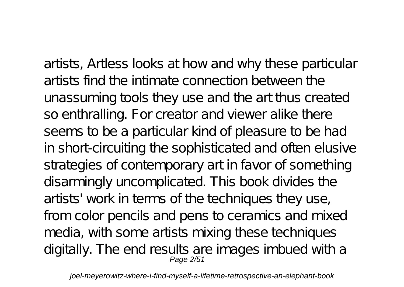artists, Artless looks at how and why these particular artists find the intimate connection between the unassuming tools they use and the art thus created so enthralling. For creator and viewer alike there seems to be a particular kind of pleasure to be had in short-circuiting the sophisticated and often elusive strategies of contemporary art in favor of something disarmingly uncomplicated. This book divides the artists' work in terms of the techniques they use, from color pencils and pens to ceramics and mixed media, with some artists mixing these techniques digitally. The end results are images imbued with a<br>Page 2/51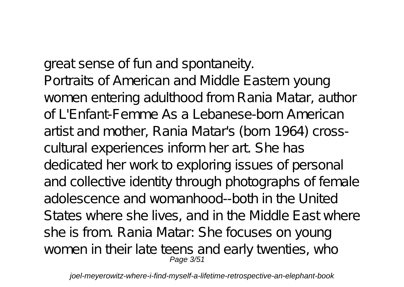great sense of fun and spontaneity. Portraits of American and Middle Eastern young women entering adulthood from Rania Matar, author of L'Enfant-Femme As a Lebanese-born American artist and mother, Rania Matar's (born 1964) crosscultural experiences inform her art. She has dedicated her work to exploring issues of personal and collective identity through photographs of female adolescence and womanhood--both in the United States where she lives, and in the Middle East where she is from. Rania Matar: She focuses on young women in their late teens and early twenties, who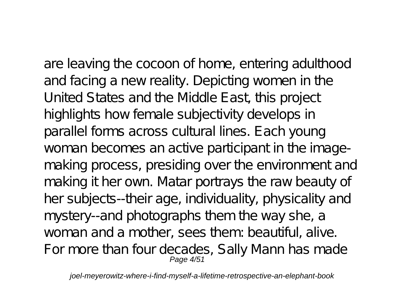are leaving the cocoon of home, entering adulthood and facing a new reality. Depicting women in the United States and the Middle East, this project highlights how female subjectivity develops in parallel forms across cultural lines. Each young woman becomes an active participant in the imagemaking process, presiding over the environment and making it her own. Matar portrays the raw beauty of her subjects--their age, individuality, physicality and mystery--and photographs them the way she, a woman and a mother, sees them: beautiful, alive. For more than four decades, Sally Mann has made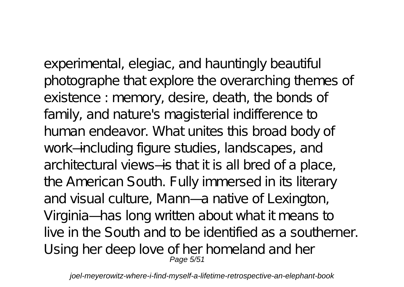experimental, elegiac, and hauntingly beautiful photographe that explore the overarching themes of existence : memory, desire, death, the bonds of family, and nature's magisterial indifference to human endeavor. What unites this broad body of work—including figure studies, landscapes, and architectural views—is that it is all bred of a place, the American South. Fully immersed in its literary

and visual culture, Mann—a native of Lexington, Virginia— has long written about what it means to live in the South and to be identified as a southerner. Using her deep love of her homeland and her Page 5/51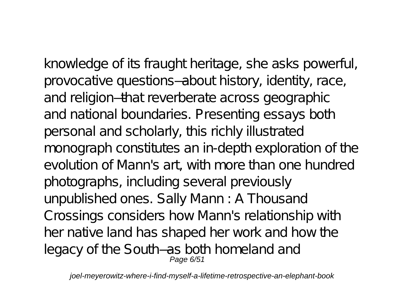knowledge of its fraught heritage, she asks powerful, provocative questions—about history, identity, race, and religion—that reverberate across geographic and national boundaries. Presenting essays both personal and scholarly, this richly illustrated monograph constitutes an in-depth exploration of the evolution of Mann's art, with more than one hundred photographs, including several previously unpublished ones. Sally Mann : A Thousand Crossings considers how Mann's relationship with her native land has shaped her work and how the legacy of the South–as both homeland and<br>Page 6/51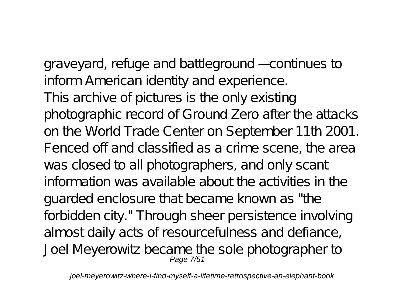graveyard, refuge and battleground — continues to inform American identity and experience. This archive of pictures is the only existing photographic record of Ground Zero after the attacks on the World Trade Center on September 11th 2001. Fenced off and classified as a crime scene, the area was closed to all photographers, and only scant information was available about the activities in the guarded enclosure that became known as "the forbidden city." Through sheer persistence involving almost daily acts of resourcefulness and defiance, Joel Meyerowitz became the sole photographer to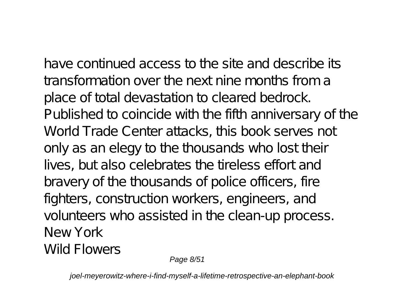have continued access to the site and describe its transformation over the next nine months from a place of total devastation to cleared bedrock. Published to coincide with the fifth anniversary of the World Trade Center attacks, this book serves not only as an elegy to the thousands who lost their lives, but also celebrates the tireless effort and bravery of the thousands of police officers, fire fighters, construction workers, engineers, and volunteers who assisted in the clean-up process. New York Wild Flowers

Page 8/51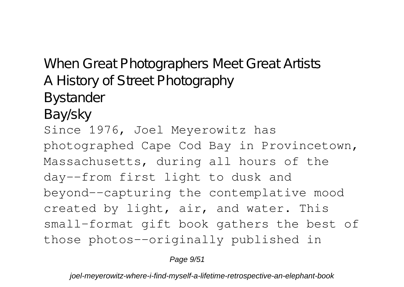When Great Photographers Meet Great Artists A History of Street Photography Bystander Bay/sky Since 1976, Joel Meyerowitz has photographed Cape Cod Bay in Provincetown, Massachusetts, during all hours of the day--from first light to dusk and beyond--capturing the contemplative mood created by light, air, and water. This small-format gift book gathers the best of those photos--originally published in

Page  $9/51$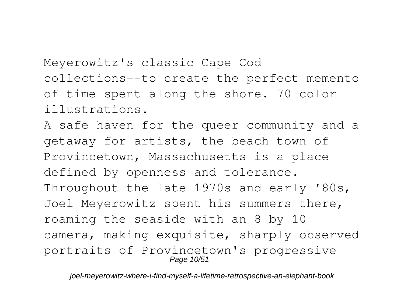Meyerowitz's classic Cape Cod collections--to create the perfect memento of time spent along the shore. 70 color illustrations.

A safe haven for the queer community and a getaway for artists, the beach town of Provincetown, Massachusetts is a place defined by openness and tolerance. Throughout the late 1970s and early '80s, Joel Meyerowitz spent his summers there, roaming the seaside with an 8-by-10 camera, making exquisite, sharply observed portraits of Provincetown's progressive Page 10/51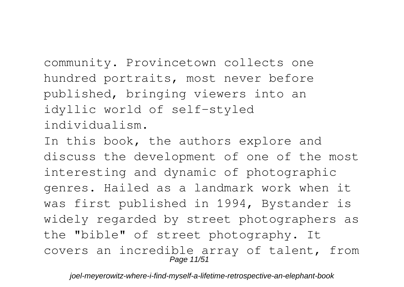community. Provincetown collects one hundred portraits, most never before published, bringing viewers into an idyllic world of self-styled individualism.

In this book, the authors explore and discuss the development of one of the most interesting and dynamic of photographic genres. Hailed as a landmark work when it was first published in 1994, Bystander is widely regarded by street photographers as the "bible" of street photography. It covers an incredible array of talent, from Page 11/51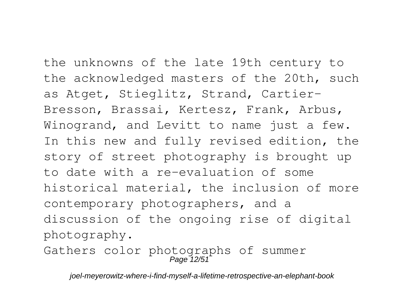the unknowns of the late 19th century to the acknowledged masters of the 20th, such as Atget, Stieglitz, Strand, Cartier-Bresson, Brassai, Kertesz, Frank, Arbus, Winogrand, and Levitt to name just a few. In this new and fully revised edition, the story of street photography is brought up to date with a re-evaluation of some historical material, the inclusion of more contemporary photographers, and a discussion of the ongoing rise of digital photography.

Gathers color photographs of summer Page 12/51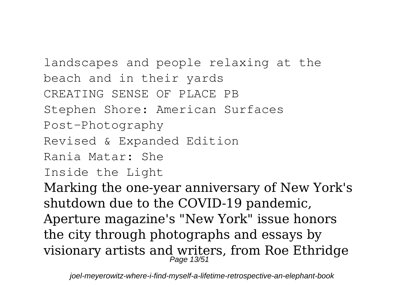landscapes and people relaxing at the beach and in their yards CREATING SENSE OF PLACE PB Stephen Shore: American Surfaces Post-Photography Revised & Expanded Edition Rania Matar: She Inside the Light

Marking the one-year anniversary of New York's shutdown due to the COVID-19 pandemic, Aperture magazine's "New York" issue honors the city through photographs and essays by visionary artists and writers, from Roe Ethridge<br>Page 13/51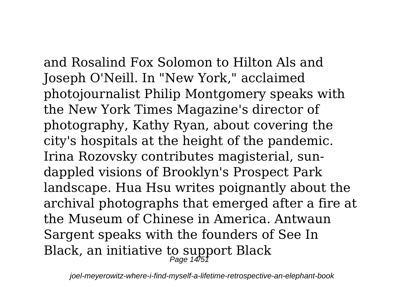and Rosalind Fox Solomon to Hilton Als and Joseph O'Neill. In "New York," acclaimed photojournalist Philip Montgomery speaks with the New York Times Magazine's director of photography, Kathy Ryan, about covering the city's hospitals at the height of the pandemic. Irina Rozovsky contributes magisterial, sundappled visions of Brooklyn's Prospect Park landscape. Hua Hsu writes poignantly about the archival photographs that emerged after a fire at the Museum of Chinese in America. Antwaun Sargent speaks with the founders of See In Black, an initiative to support Black<br>Page 14/51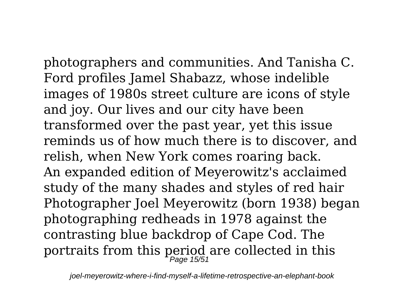photographers and communities. And Tanisha C. Ford profiles Jamel Shabazz, whose indelible images of 1980s street culture are icons of style and joy. Our lives and our city have been transformed over the past year, yet this issue reminds us of how much there is to discover, and relish, when New York comes roaring back. An expanded edition of Meyerowitz's acclaimed study of the many shades and styles of red hair Photographer Joel Meyerowitz (born 1938) began photographing redheads in 1978 against the contrasting blue backdrop of Cape Cod. The portraits from this period are collected in this  $_{\tiny{Page~15/51}}$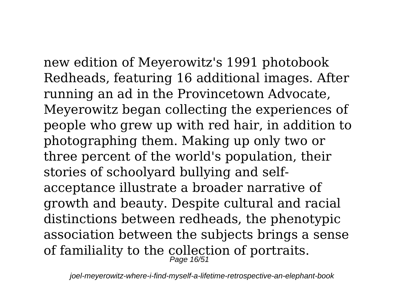new edition of Meyerowitz's 1991 photobook Redheads, featuring 16 additional images. After running an ad in the Provincetown Advocate, Meyerowitz began collecting the experiences of people who grew up with red hair, in addition to photographing them. Making up only two or three percent of the world's population, their stories of schoolyard bullying and selfacceptance illustrate a broader narrative of growth and beauty. Despite cultural and racial distinctions between redheads, the phenotypic association between the subjects brings a sense of familiality to the collection of portraits.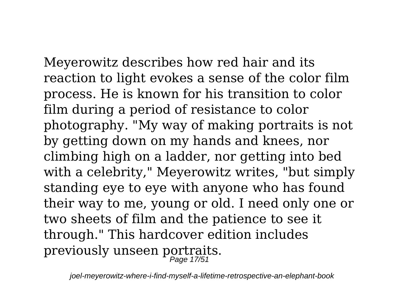Meyerowitz describes how red hair and its reaction to light evokes a sense of the color film process. He is known for his transition to color film during a period of resistance to color photography. "My way of making portraits is not by getting down on my hands and knees, nor climbing high on a ladder, nor getting into bed with a celebrity," Meyerowitz writes, "but simply standing eye to eye with anyone who has found their way to me, young or old. I need only one or two sheets of film and the patience to see it through." This hardcover edition includes previously unseen portraits. Page 17/51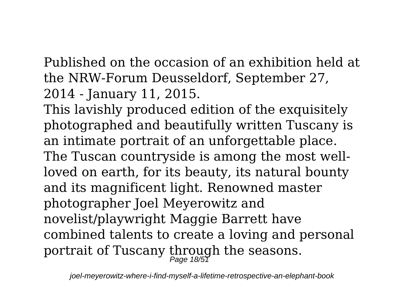Published on the occasion of an exhibition held at the NRW-Forum Deusseldorf, September 27, 2014 - January 11, 2015.

This lavishly produced edition of the exquisitely photographed and beautifully written Tuscany is an intimate portrait of an unforgettable place. The Tuscan countryside is among the most wellloved on earth, for its beauty, its natural bounty and its magnificent light. Renowned master photographer Joel Meyerowitz and novelist/playwright Maggie Barrett have combined talents to create a loving and personal portrait of Tuscany through the seasons. Page 18/51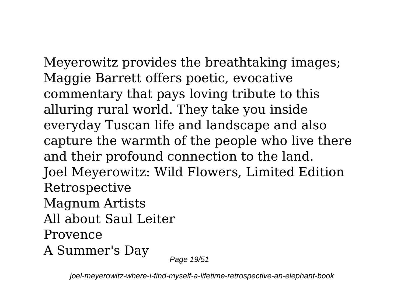Meyerowitz provides the breathtaking images; Maggie Barrett offers poetic, evocative commentary that pays loving tribute to this alluring rural world. They take you inside everyday Tuscan life and landscape and also capture the warmth of the people who live there and their profound connection to the land. Joel Meyerowitz: Wild Flowers, Limited Edition Retrospective Magnum Artists All about Saul Leiter Provence A Summer's Day

Page 19/51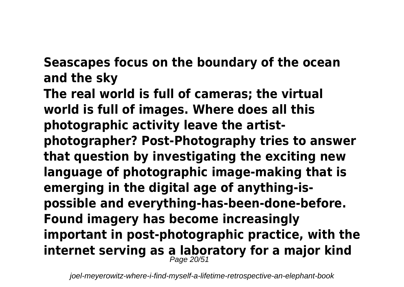**Seascapes focus on the boundary of the ocean and the sky**

**The real world is full of cameras; the virtual world is full of images. Where does all this photographic activity leave the artistphotographer? Post-Photography tries to answer that question by investigating the exciting new language of photographic image-making that is emerging in the digital age of anything-ispossible and everything-has-been-done-before. Found imagery has become increasingly important in post-photographic practice, with the internet serving as a laboratory for a major kind** Page 20/51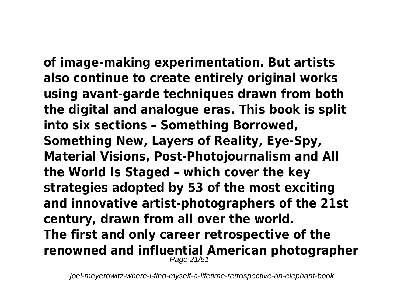**of image-making experimentation. But artists also continue to create entirely original works using avant-garde techniques drawn from both the digital and analogue eras. This book is split into six sections – Something Borrowed, Something New, Layers of Reality, Eye-Spy, Material Visions, Post-Photojournalism and All the World Is Staged – which cover the key strategies adopted by 53 of the most exciting and innovative artist-photographers of the 21st century, drawn from all over the world. The first and only career retrospective of the renowned and influential American photographer** Page 21/51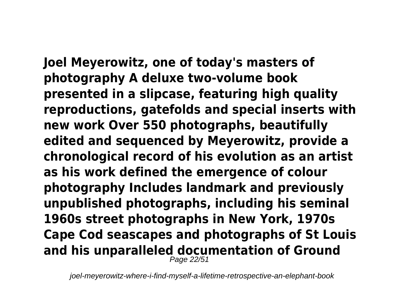**Joel Meyerowitz, one of today's masters of photography A deluxe two-volume book presented in a slipcase, featuring high quality reproductions, gatefolds and special inserts with new work Over 550 photographs, beautifully edited and sequenced by Meyerowitz, provide a chronological record of his evolution as an artist as his work defined the emergence of colour photography Includes landmark and previously unpublished photographs, including his seminal 1960s street photographs in New York, 1970s Cape Cod seascapes and photographs of St Louis and his unparalleled documentation of Ground** Page 22/51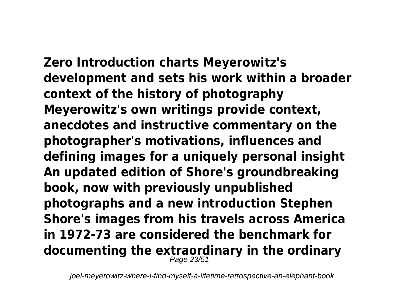**Zero Introduction charts Meyerowitz's development and sets his work within a broader context of the history of photography Meyerowitz's own writings provide context, anecdotes and instructive commentary on the photographer's motivations, influences and defining images for a uniquely personal insight An updated edition of Shore's groundbreaking book, now with previously unpublished photographs and a new introduction Stephen Shore's images from his travels across America in 1972-73 are considered the benchmark for documenting the extraordinary in the ordinary** Page 23/51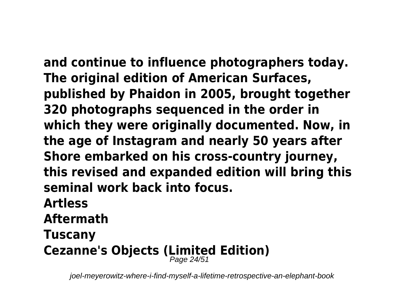**and continue to influence photographers today. The original edition of American Surfaces, published by Phaidon in 2005, brought together 320 photographs sequenced in the order in which they were originally documented. Now, in the age of Instagram and nearly 50 years after Shore embarked on his cross-country journey, this revised and expanded edition will bring this seminal work back into focus.**

### **Artless**

**Aftermath**

## **Tuscany**

## **Cezanne's Objects (Limited Edition)** Page 24/51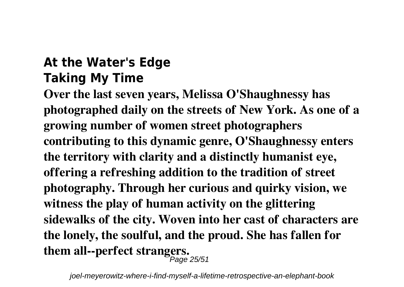#### **At the Water's Edge Taking My Time**

**Over the last seven years, Melissa O'Shaughnessy has photographed daily on the streets of New York. As one of a growing number of women street photographers contributing to this dynamic genre, O'Shaughnessy enters the territory with clarity and a distinctly humanist eye, offering a refreshing addition to the tradition of street photography. Through her curious and quirky vision, we witness the play of human activity on the glittering sidewalks of the city. Woven into her cast of characters are the lonely, the soulful, and the proud. She has fallen for them all--perfect strangers.** Page 25/51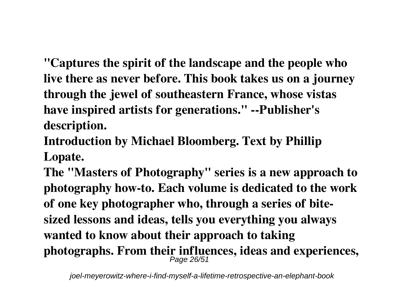**"Captures the spirit of the landscape and the people who live there as never before. This book takes us on a journey through the jewel of southeastern France, whose vistas have inspired artists for generations." --Publisher's description.**

**Introduction by Michael Bloomberg. Text by Phillip Lopate.**

**The "Masters of Photography" series is a new approach to photography how-to. Each volume is dedicated to the work of one key photographer who, through a series of bitesized lessons and ideas, tells you everything you always wanted to know about their approach to taking** photographs. From their influences, ideas and experiences,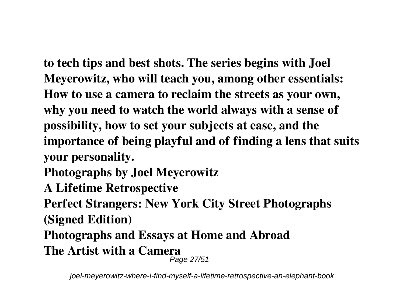**to tech tips and best shots. The series begins with Joel Meyerowitz, who will teach you, among other essentials: How to use a camera to reclaim the streets as your own, why you need to watch the world always with a sense of possibility, how to set your subjects at ease, and the importance of being playful and of finding a lens that suits your personality.**

**Photographs by Joel Meyerowitz**

**A Lifetime Retrospective**

**Perfect Strangers: New York City Street Photographs (Signed Edition)**

**Photographs and Essays at Home and Abroad The Artist with a Camera** Page 27/51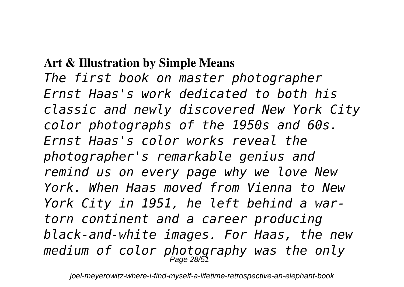#### **Art & Illustration by Simple Means**

*The first book on master photographer Ernst Haas's work dedicated to both his classic and newly discovered New York City color photographs of the 1950s and 60s. Ernst Haas's color works reveal the photographer's remarkable genius and remind us on every page why we love New York. When Haas moved from Vienna to New York City in 1951, he left behind a wartorn continent and a career producing black-and-white images. For Haas, the new medium of color photography was the only* Page 28/51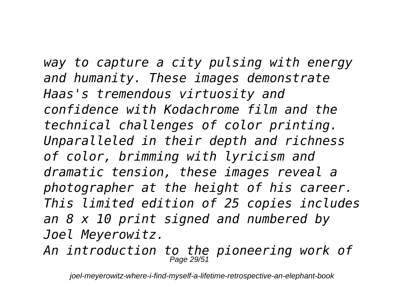*way to capture a city pulsing with energy and humanity. These images demonstrate Haas's tremendous virtuosity and confidence with Kodachrome film and the technical challenges of color printing. Unparalleled in their depth and richness of color, brimming with lyricism and dramatic tension, these images reveal a photographer at the height of his career. This limited edition of 25 copies includes an 8 x 10 print signed and numbered by Joel Meyerowitz.*

*An introduction to the pioneering work of* Page 29/51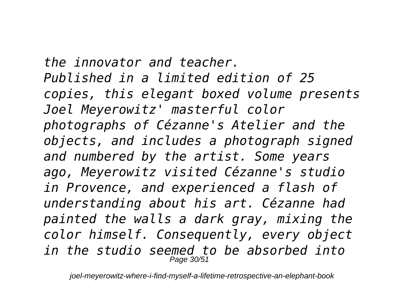*the innovator and teacher. Published in a limited edition of 25 copies, this elegant boxed volume presents Joel Meyerowitz' masterful color photographs of Cézanne's Atelier and the objects, and includes a photograph signed and numbered by the artist. Some years ago, Meyerowitz visited Cézanne's studio in Provence, and experienced a flash of understanding about his art. Cézanne had painted the walls a dark gray, mixing the color himself. Consequently, every object in the studio seemed to be absorbed into* Page  $30/5$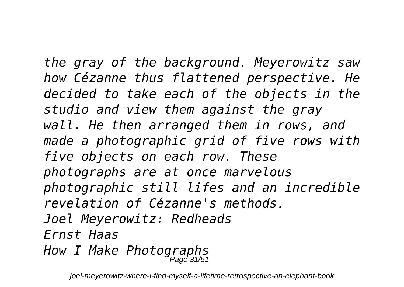*the gray of the background. Meyerowitz saw how Cézanne thus flattened perspective. He decided to take each of the objects in the studio and view them against the gray wall. He then arranged them in rows, and made a photographic grid of five rows with five objects on each row. These photographs are at once marvelous photographic still lifes and an incredible revelation of Cézanne's methods. Joel Meyerowitz: Redheads Ernst Haas How I Make Photographs* Page 31/51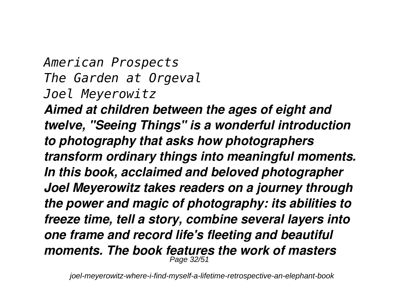#### *American Prospects The Garden at Orgeval Joel Meyerowitz*

*Aimed at children between the ages of eight and twelve, "Seeing Things" is a wonderful introduction to photography that asks how photographers transform ordinary things into meaningful moments. In this book, acclaimed and beloved photographer Joel Meyerowitz takes readers on a journey through the power and magic of photography: its abilities to freeze time, tell a story, combine several layers into one frame and record life's fleeting and beautiful moments. The book features the work of masters* Page 32/5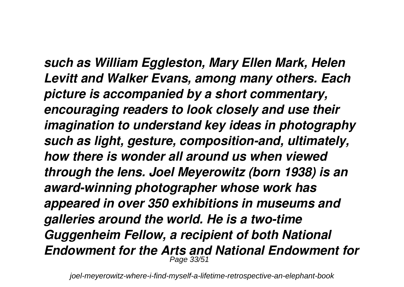*such as William Eggleston, Mary Ellen Mark, Helen Levitt and Walker Evans, among many others. Each picture is accompanied by a short commentary, encouraging readers to look closely and use their imagination to understand key ideas in photography such as light, gesture, composition-and, ultimately, how there is wonder all around us when viewed through the lens. Joel Meyerowitz (born 1938) is an award-winning photographer whose work has appeared in over 350 exhibitions in museums and galleries around the world. He is a two-time Guggenheim Fellow, a recipient of both National Endowment for the Arts and National Endowment for* Page 33/5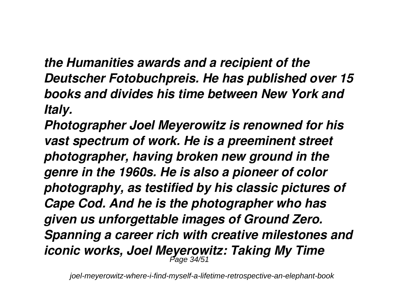*the Humanities awards and a recipient of the Deutscher Fotobuchpreis. He has published over 15 books and divides his time between New York and Italy.*

*Photographer Joel Meyerowitz is renowned for his vast spectrum of work. He is a preeminent street photographer, having broken new ground in the genre in the 1960s. He is also a pioneer of color photography, as testified by his classic pictures of Cape Cod. And he is the photographer who has given us unforgettable images of Ground Zero. Spanning a career rich with creative milestones and iconic works, Joel Meyerowitz: Taking My Time* Page 34/51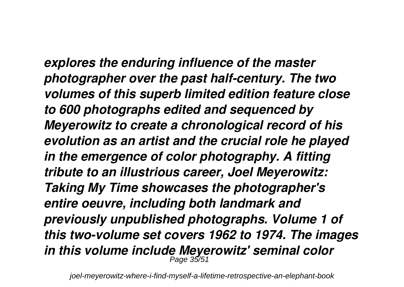*explores the enduring influence of the master photographer over the past half-century. The two volumes of this superb limited edition feature close to 600 photographs edited and sequenced by Meyerowitz to create a chronological record of his evolution as an artist and the crucial role he played in the emergence of color photography. A fitting tribute to an illustrious career, Joel Meyerowitz: Taking My Time showcases the photographer's entire oeuvre, including both landmark and previously unpublished photographs. Volume 1 of this two-volume set covers 1962 to 1974. The images in this volume include Meyerowitz' seminal color* Page 35/51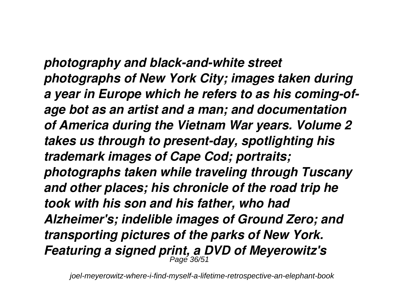*photography and black-and-white street photographs of New York City; images taken during a year in Europe which he refers to as his coming-ofage bot as an artist and a man; and documentation of America during the Vietnam War years. Volume 2 takes us through to present-day, spotlighting his trademark images of Cape Cod; portraits; photographs taken while traveling through Tuscany and other places; his chronicle of the road trip he took with his son and his father, who had Alzheimer's; indelible images of Ground Zero; and transporting pictures of the parks of New York. Featuring a signed print, a DVD of Meyerowitz's* Page 36/51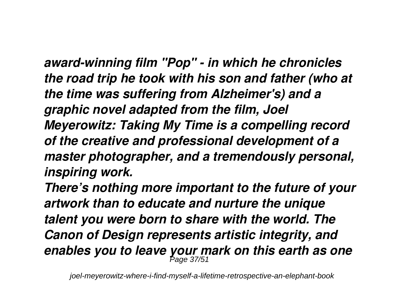*award-winning film "Pop" - in which he chronicles the road trip he took with his son and father (who at the time was suffering from Alzheimer's) and a graphic novel adapted from the film, Joel Meyerowitz: Taking My Time is a compelling record of the creative and professional development of a master photographer, and a tremendously personal, inspiring work.*

*There's nothing more important to the future of your artwork than to educate and nurture the unique talent you were born to share with the world. The Canon of Design represents artistic integrity, and enables you to leave your mark on this earth as one* Page 37/51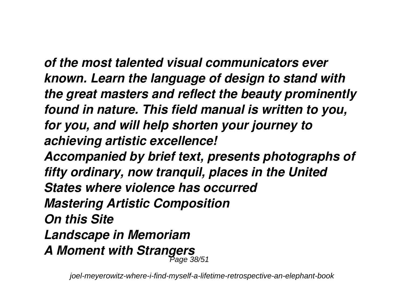*of the most talented visual communicators ever known. Learn the language of design to stand with the great masters and reflect the beauty prominently found in nature. This field manual is written to you, for you, and will help shorten your journey to achieving artistic excellence!*

*Accompanied by brief text, presents photographs of fifty ordinary, now tranquil, places in the United States where violence has occurred Mastering Artistic Composition On this Site Landscape in Memoriam A Moment with Strangers* Page 38/51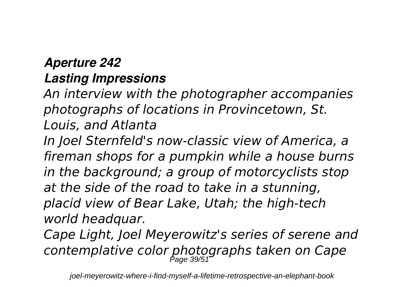#### *Aperture 242 Lasting Impressions*

*An interview with the photographer accompanies photographs of locations in Provincetown, St. Louis, and Atlanta*

*In Joel Sternfeld's now-classic view of America, a fireman shops for a pumpkin while a house burns in the background; a group of motorcyclists stop at the side of the road to take in a stunning, placid view of Bear Lake, Utah; the high-tech world headquar.*

*Cape Light, Joel Meyerowitz's series of serene and contemplative color photographs taken on Cape* Page 39/51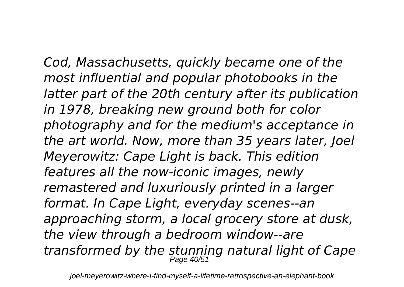*Cod, Massachusetts, quickly became one of the most influential and popular photobooks in the latter part of the 20th century after its publication in 1978, breaking new ground both for color photography and for the medium's acceptance in the art world. Now, more than 35 years later, Joel Meyerowitz: Cape Light is back. This edition features all the now-iconic images, newly remastered and luxuriously printed in a larger format. In Cape Light, everyday scenes--an approaching storm, a local grocery store at dusk, the view through a bedroom window--are transformed by the stunning natural light of Cape* Page 40/51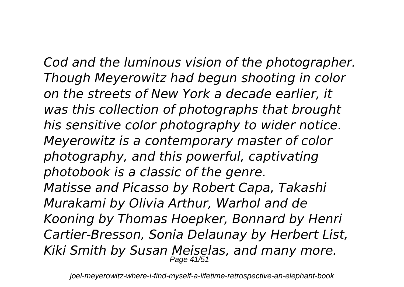*Cod and the luminous vision of the photographer. Though Meyerowitz had begun shooting in color on the streets of New York a decade earlier, it was this collection of photographs that brought his sensitive color photography to wider notice. Meyerowitz is a contemporary master of color photography, and this powerful, captivating photobook is a classic of the genre. Matisse and Picasso by Robert Capa, Takashi Murakami by Olivia Arthur, Warhol and de Kooning by Thomas Hoepker, Bonnard by Henri Cartier-Bresson, Sonia Delaunay by Herbert List, Kiki Smith by Susan Meiselas, and many more.* Page 41/51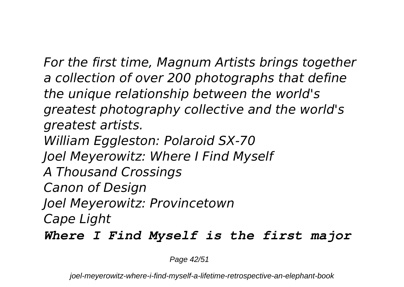*For the first time, Magnum Artists brings together a collection of over 200 photographs that define the unique relationship between the world's greatest photography collective and the world's greatest artists. William Eggleston: Polaroid SX-70 Joel Meyerowitz: Where I Find Myself A Thousand Crossings Canon of Design Joel Meyerowitz: Provincetown Cape Light Where I Find Myself is the first major*

Page 42/51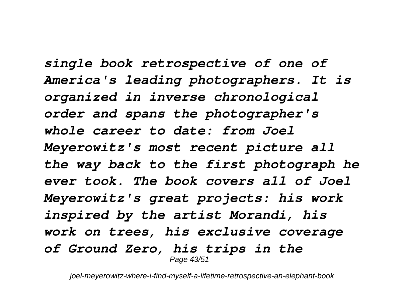*single book retrospective of one of America's leading photographers. It is organized in inverse chronological order and spans the photographer's whole career to date: from Joel Meyerowitz's most recent picture all the way back to the first photograph he ever took. The book covers all of Joel Meyerowitz's great projects: his work inspired by the artist Morandi, his work on trees, his exclusive coverage of Ground Zero, his trips in the* Page 43/51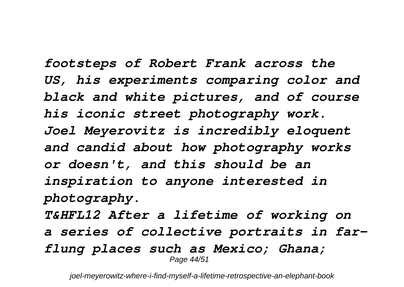*footsteps of Robert Frank across the US, his experiments comparing color and black and white pictures, and of course his iconic street photography work. Joel Meyerovitz is incredibly eloquent and candid about how photography works or doesn't, and this should be an inspiration to anyone interested in photography. T&HFL12 After a lifetime of working on a series of collective portraits in farflung places such as Mexico; Ghana;* Page 44/51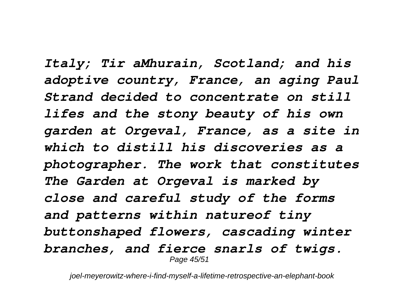*Italy; Tir aMhurain, Scotland; and his adoptive country, France, an aging Paul Strand decided to concentrate on still lifes and the stony beauty of his own garden at Orgeval, France, as a site in which to distill his discoveries as a photographer. The work that constitutes The Garden at Orgeval is marked by close and careful study of the forms and patterns within natureof tiny buttonshaped flowers, cascading winter branches, and fierce snarls of twigs.* Page 45/51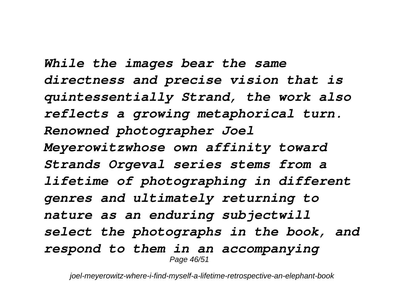*While the images bear the same directness and precise vision that is quintessentially Strand, the work also reflects a growing metaphorical turn. Renowned photographer Joel Meyerowitzwhose own affinity toward Strands Orgeval series stems from a lifetime of photographing in different genres and ultimately returning to nature as an enduring subjectwill select the photographs in the book, and respond to them in an accompanying* Page 46/51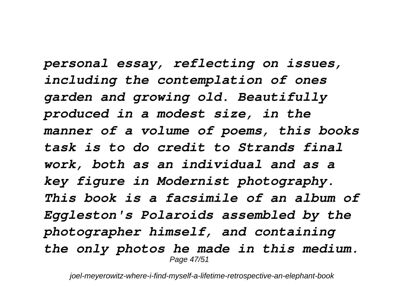*personal essay, reflecting on issues, including the contemplation of ones garden and growing old. Beautifully produced in a modest size, in the manner of a volume of poems, this books task is to do credit to Strands final work, both as an individual and as a key figure in Modernist photography. This book is a facsimile of an album of Eggleston's Polaroids assembled by the photographer himself, and containing the only photos he made in this medium.* Page 47/51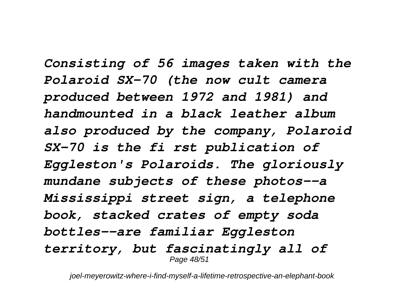*Consisting of 56 images taken with the Polaroid SX-70 (the now cult camera produced between 1972 and 1981) and handmounted in a black leather album also produced by the company, Polaroid SX-70 is the fi rst publication of Eggleston's Polaroids. The gloriously mundane subjects of these photos--a Mississippi street sign, a telephone book, stacked crates of empty soda bottles--are familiar Eggleston territory, but fascinatingly all of* Page 48/51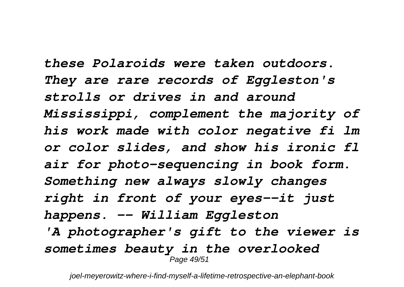*these Polaroids were taken outdoors. They are rare records of Eggleston's strolls or drives in and around Mississippi, complement the majority of his work made with color negative fi lm or color slides, and show his ironic fl air for photo-sequencing in book form. Something new always slowly changes right in front of your eyes--it just happens. -- William Eggleston 'A photographer's gift to the viewer is sometimes beauty in the overlooked* Page 49/51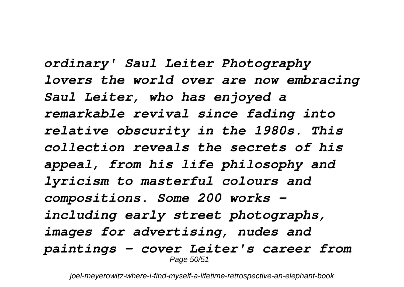*ordinary' Saul Leiter Photography lovers the world over are now embracing Saul Leiter, who has enjoyed a remarkable revival since fading into relative obscurity in the 1980s. This collection reveals the secrets of his appeal, from his life philosophy and lyricism to masterful colours and compositions. Some 200 works including early street photographs, images for advertising, nudes and paintings - cover Leiter's career from* Page 50/51